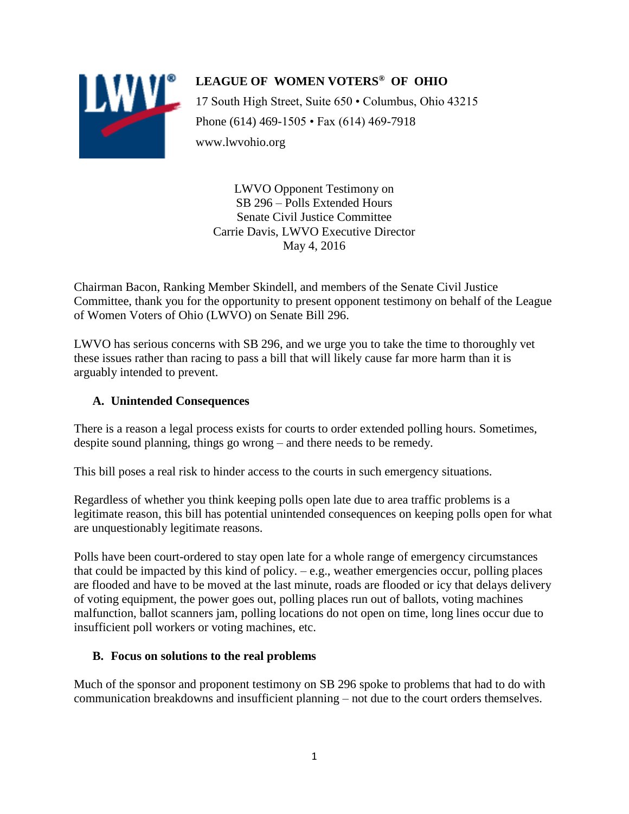

**LEAGUE OF WOMEN VOTERS® OF OHIO** 17 South High Street, Suite 650 • Columbus, Ohio 43215 Phone (614) 469-1505 • Fax (614) 469-7918 www.lwvohio.org

LWVO Opponent Testimony on SB 296 – Polls Extended Hours Senate Civil Justice Committee Carrie Davis, LWVO Executive Director May 4, 2016

Chairman Bacon, Ranking Member Skindell, and members of the Senate Civil Justice Committee, thank you for the opportunity to present opponent testimony on behalf of the League of Women Voters of Ohio (LWVO) on Senate Bill 296.

LWVO has serious concerns with SB 296, and we urge you to take the time to thoroughly vet these issues rather than racing to pass a bill that will likely cause far more harm than it is arguably intended to prevent.

#### **A. Unintended Consequences**

There is a reason a legal process exists for courts to order extended polling hours. Sometimes, despite sound planning, things go wrong – and there needs to be remedy.

This bill poses a real risk to hinder access to the courts in such emergency situations.

Regardless of whether you think keeping polls open late due to area traffic problems is a legitimate reason, this bill has potential unintended consequences on keeping polls open for what are unquestionably legitimate reasons.

Polls have been court-ordered to stay open late for a whole range of emergency circumstances that could be impacted by this kind of policy. – e.g., weather emergencies occur, polling places are flooded and have to be moved at the last minute, roads are flooded or icy that delays delivery of voting equipment, the power goes out, polling places run out of ballots, voting machines malfunction, ballot scanners jam, polling locations do not open on time, long lines occur due to insufficient poll workers or voting machines, etc.

### **B. Focus on solutions to the real problems**

Much of the sponsor and proponent testimony on SB 296 spoke to problems that had to do with communication breakdowns and insufficient planning – not due to the court orders themselves.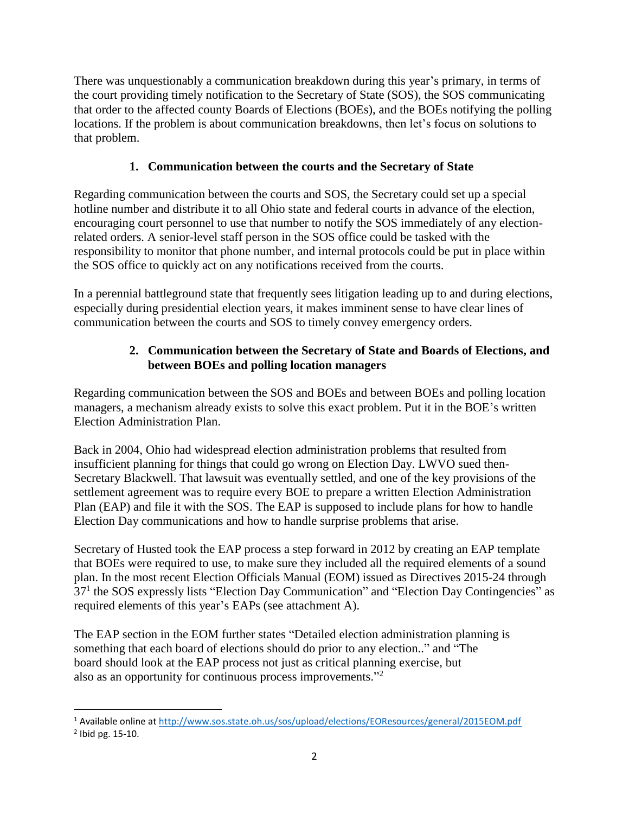There was unquestionably a communication breakdown during this year's primary, in terms of the court providing timely notification to the Secretary of State (SOS), the SOS communicating that order to the affected county Boards of Elections (BOEs), and the BOEs notifying the polling locations. If the problem is about communication breakdowns, then let's focus on solutions to that problem.

# **1. Communication between the courts and the Secretary of State**

Regarding communication between the courts and SOS, the Secretary could set up a special hotline number and distribute it to all Ohio state and federal courts in advance of the election, encouraging court personnel to use that number to notify the SOS immediately of any electionrelated orders. A senior-level staff person in the SOS office could be tasked with the responsibility to monitor that phone number, and internal protocols could be put in place within the SOS office to quickly act on any notifications received from the courts.

In a perennial battleground state that frequently sees litigation leading up to and during elections, especially during presidential election years, it makes imminent sense to have clear lines of communication between the courts and SOS to timely convey emergency orders.

# **2. Communication between the Secretary of State and Boards of Elections, and between BOEs and polling location managers**

Regarding communication between the SOS and BOEs and between BOEs and polling location managers, a mechanism already exists to solve this exact problem. Put it in the BOE's written Election Administration Plan.

Back in 2004, Ohio had widespread election administration problems that resulted from insufficient planning for things that could go wrong on Election Day. LWVO sued then-Secretary Blackwell. That lawsuit was eventually settled, and one of the key provisions of the settlement agreement was to require every BOE to prepare a written Election Administration Plan (EAP) and file it with the SOS. The EAP is supposed to include plans for how to handle Election Day communications and how to handle surprise problems that arise.

Secretary of Husted took the EAP process a step forward in 2012 by creating an EAP template that BOEs were required to use, to make sure they included all the required elements of a sound plan. In the most recent Election Officials Manual (EOM) issued as Directives 2015-24 through 37<sup>1</sup> the SOS expressly lists "Election Day Communication" and "Election Day Contingencies" as required elements of this year's EAPs (see attachment A).

The EAP section in the EOM further states "Detailed election administration planning is something that each board of elections should do prior to any election.." and "The board should look at the EAP process not just as critical planning exercise, but also as an opportunity for continuous process improvements."<sup>2</sup>

l

<sup>1</sup> Available online at<http://www.sos.state.oh.us/sos/upload/elections/EOResources/general/2015EOM.pdf>

 $2$  Ibid pg. 15-10.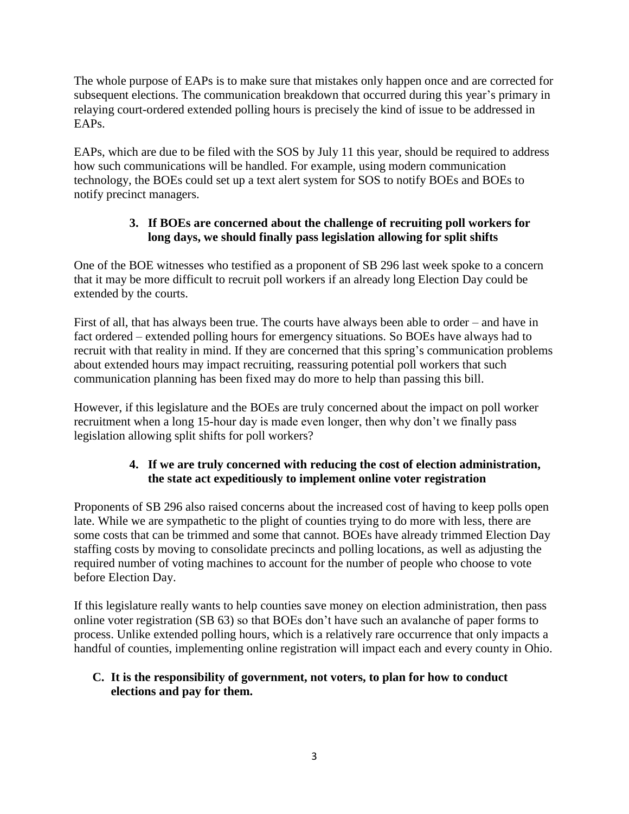The whole purpose of EAPs is to make sure that mistakes only happen once and are corrected for subsequent elections. The communication breakdown that occurred during this year's primary in relaying court-ordered extended polling hours is precisely the kind of issue to be addressed in EAPs.

EAPs, which are due to be filed with the SOS by July 11 this year, should be required to address how such communications will be handled. For example, using modern communication technology, the BOEs could set up a text alert system for SOS to notify BOEs and BOEs to notify precinct managers.

### **3. If BOEs are concerned about the challenge of recruiting poll workers for long days, we should finally pass legislation allowing for split shifts**

One of the BOE witnesses who testified as a proponent of SB 296 last week spoke to a concern that it may be more difficult to recruit poll workers if an already long Election Day could be extended by the courts.

First of all, that has always been true. The courts have always been able to order – and have in fact ordered – extended polling hours for emergency situations. So BOEs have always had to recruit with that reality in mind. If they are concerned that this spring's communication problems about extended hours may impact recruiting, reassuring potential poll workers that such communication planning has been fixed may do more to help than passing this bill.

However, if this legislature and the BOEs are truly concerned about the impact on poll worker recruitment when a long 15-hour day is made even longer, then why don't we finally pass legislation allowing split shifts for poll workers?

## **4. If we are truly concerned with reducing the cost of election administration, the state act expeditiously to implement online voter registration**

Proponents of SB 296 also raised concerns about the increased cost of having to keep polls open late. While we are sympathetic to the plight of counties trying to do more with less, there are some costs that can be trimmed and some that cannot. BOEs have already trimmed Election Day staffing costs by moving to consolidate precincts and polling locations, as well as adjusting the required number of voting machines to account for the number of people who choose to vote before Election Day.

If this legislature really wants to help counties save money on election administration, then pass online voter registration (SB 63) so that BOEs don't have such an avalanche of paper forms to process. Unlike extended polling hours, which is a relatively rare occurrence that only impacts a handful of counties, implementing online registration will impact each and every county in Ohio.

### **C. It is the responsibility of government, not voters, to plan for how to conduct elections and pay for them.**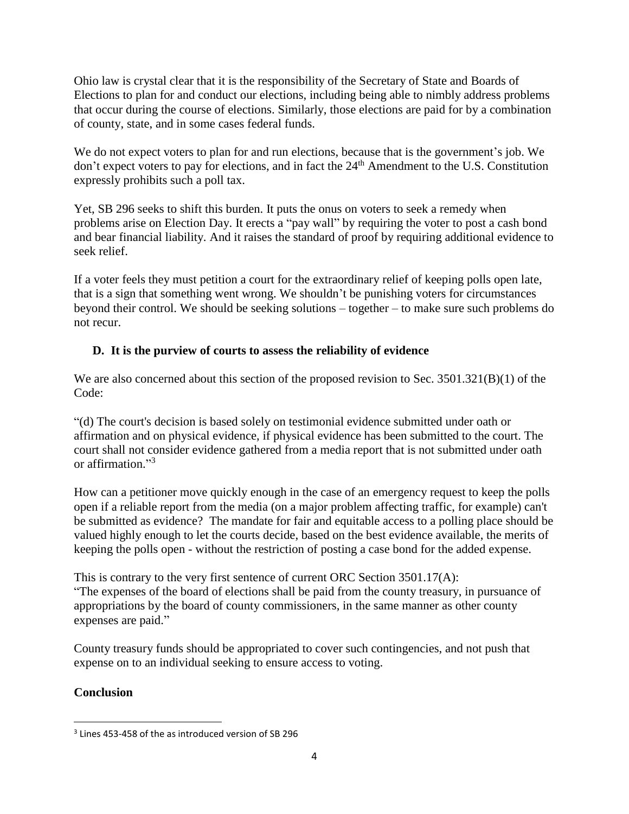Ohio law is crystal clear that it is the responsibility of the Secretary of State and Boards of Elections to plan for and conduct our elections, including being able to nimbly address problems that occur during the course of elections. Similarly, those elections are paid for by a combination of county, state, and in some cases federal funds.

We do not expect voters to plan for and run elections, because that is the government's job. We don't expect voters to pay for elections, and in fact the  $24<sup>th</sup>$  Amendment to the U.S. Constitution expressly prohibits such a poll tax.

Yet, SB 296 seeks to shift this burden. It puts the onus on voters to seek a remedy when problems arise on Election Day. It erects a "pay wall" by requiring the voter to post a cash bond and bear financial liability. And it raises the standard of proof by requiring additional evidence to seek relief.

If a voter feels they must petition a court for the extraordinary relief of keeping polls open late, that is a sign that something went wrong. We shouldn't be punishing voters for circumstances beyond their control. We should be seeking solutions – together – to make sure such problems do not recur.

# **D. It is the purview of courts to assess the reliability of evidence**

We are also concerned about this section of the proposed revision to Sec. 3501.321(B)(1) of the Code:

"(d) The court's decision is based solely on testimonial evidence submitted under oath or affirmation and on physical evidence, if physical evidence has been submitted to the court. The court shall not consider evidence gathered from a media report that is not submitted under oath or affirmation." 3

How can a petitioner move quickly enough in the case of an emergency request to keep the polls open if a reliable report from the media (on a major problem affecting traffic, for example) can't be submitted as evidence? The mandate for fair and equitable access to a polling place should be valued highly enough to let the courts decide, based on the best evidence available, the merits of keeping the polls open - without the restriction of posting a case bond for the added expense.

This is contrary to the very first sentence of current ORC Section 3501.17(A): "The expenses of the board of elections shall be paid from the county treasury, in pursuance of appropriations by the board of county commissioners, in the same manner as other county expenses are paid."

County treasury funds should be appropriated to cover such contingencies, and not push that expense on to an individual seeking to ensure access to voting.

# **Conclusion**

 $\overline{\phantom{a}}$ 

<sup>&</sup>lt;sup>3</sup> Lines 453-458 of the as introduced version of SB 296